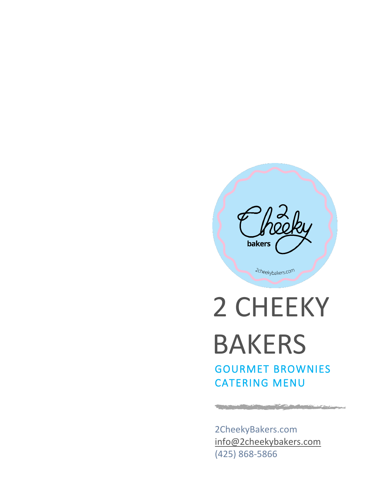

2cheekybakers.com

2 CHEEKY BAKERS GOURMET BROWNIES CATERING MENU

2CheekyBakers.com [info@2cheekybakers.com](mailto:info@2cheekybakers.com) (425) 868-5866

**Contract on the contract of the contract of the contract of the contract of the contract of the contract of the** 

وبهجا سنستجشم